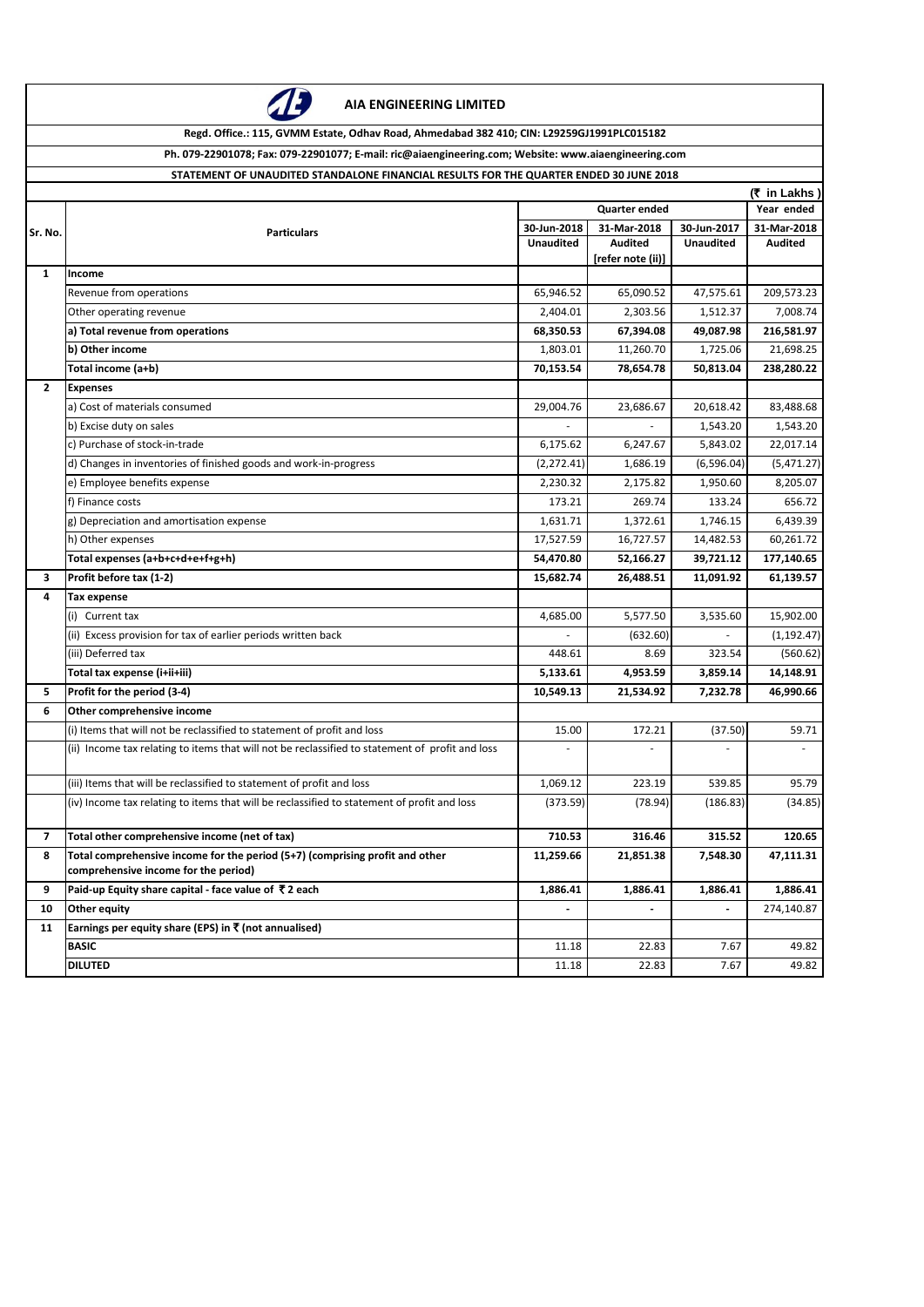

**AIA ENGINEERING LIMITED**

**Regd. Office.: 115, GVMM Estate, Odhav Road, Ahmedabad 382 410; CIN: L29259GJ1991PLC015182**

**Ph. 079-22901078; Fax: 079-22901077; E-mail: ric@aiaengineering.com; Website: www.aiaengineering.com**

**STATEMENT OF UNAUDITED STANDALONE FINANCIAL RESULTS FOR THE QUARTER ENDED 30 JUNE 2018**

|              | (₹ in Lakhs)                                                                                                         |                  |                   |                  |                          |  |
|--------------|----------------------------------------------------------------------------------------------------------------------|------------------|-------------------|------------------|--------------------------|--|
|              | <b>Particulars</b>                                                                                                   |                  | Year ended        |                  |                          |  |
| Sr. No.      |                                                                                                                      | 30-Jun-2018      | 31-Mar-2018       | 30-Jun-2017      | 31-Mar-2018              |  |
|              |                                                                                                                      | <b>Unaudited</b> | <b>Audited</b>    | <b>Unaudited</b> | <b>Audited</b>           |  |
| $\mathbf{1}$ | Income                                                                                                               |                  | [refer note (ii)] |                  |                          |  |
|              | Revenue from operations                                                                                              | 65,946.52        | 65,090.52         | 47,575.61        | 209,573.23               |  |
|              | Other operating revenue                                                                                              | 2,404.01         | 2,303.56          | 1,512.37         | 7,008.74                 |  |
|              | a) Total revenue from operations                                                                                     | 68,350.53        | 67,394.08         | 49,087.98        | 216,581.97               |  |
|              | b) Other income                                                                                                      | 1,803.01         | 11,260.70         | 1,725.06         | 21,698.25                |  |
|              | Total income (a+b)                                                                                                   | 70,153.54        | 78,654.78         | 50,813.04        | 238,280.22               |  |
| $\mathbf{2}$ | <b>Expenses</b>                                                                                                      |                  |                   |                  |                          |  |
|              | a) Cost of materials consumed                                                                                        | 29,004.76        | 23,686.67         | 20,618.42        | 83,488.68                |  |
|              | b) Excise duty on sales                                                                                              |                  |                   | 1,543.20         | 1,543.20                 |  |
|              | c) Purchase of stock-in-trade                                                                                        | 6,175.62         | 6,247.67          | 5,843.02         | 22,017.14                |  |
|              | d) Changes in inventories of finished goods and work-in-progress                                                     | (2, 272.41)      | 1,686.19          | (6,596.04)       | (5,471.27)               |  |
|              | e) Employee benefits expense                                                                                         | 2,230.32         | 2,175.82          | 1,950.60         | 8,205.07                 |  |
|              | f) Finance costs                                                                                                     | 173.21           | 269.74            | 133.24           | 656.72                   |  |
|              | g) Depreciation and amortisation expense                                                                             | 1,631.71         | 1,372.61          | 1,746.15         | 6,439.39                 |  |
|              | h) Other expenses                                                                                                    | 17,527.59        | 16,727.57         | 14,482.53        | 60,261.72                |  |
|              | Total expenses (a+b+c+d+e+f+g+h)                                                                                     | 54,470.80        | 52,166.27         | 39,721.12        | 177,140.65               |  |
| 3            | Profit before tax (1-2)                                                                                              | 15,682.74        | 26,488.51         | 11,091.92        | 61,139.57                |  |
| 4            | <b>Tax expense</b>                                                                                                   |                  |                   |                  |                          |  |
|              | (i) Current tax                                                                                                      | 4,685.00         | 5,577.50          | 3,535.60         | 15,902.00                |  |
|              | (ii) Excess provision for tax of earlier periods written back                                                        |                  | (632.60)          |                  | (1, 192.47)              |  |
|              | (iii) Deferred tax                                                                                                   | 448.61           | 8.69              | 323.54           | (560.62)                 |  |
|              | Total tax expense (i+ii+iii)                                                                                         | 5,133.61         | 4,953.59          | 3,859.14         | 14,148.91                |  |
| 5.           | Profit for the period (3-4)                                                                                          | 10,549.13        | 21,534.92         | 7,232.78         | 46,990.66                |  |
| 6            | Other comprehensive income                                                                                           |                  |                   |                  |                          |  |
|              | (i) Items that will not be reclassified to statement of profit and loss                                              | 15.00            | 172.21            | (37.50)          | 59.71                    |  |
|              | (ii) Income tax relating to items that will not be reclassified to statement of profit and loss                      | $\overline{a}$   | ÷                 | $\sim$           | $\overline{\phantom{a}}$ |  |
|              | (iii) Items that will be reclassified to statement of profit and loss                                                | 1,069.12         | 223.19            | 539.85           | 95.79                    |  |
|              | (iv) Income tax relating to items that will be reclassified to statement of profit and loss                          | (373.59)         | (78.94)           | (186.83)         | (34.85)                  |  |
| 7            | Total other comprehensive income (net of tax)                                                                        | 710.53           | 316.46            | 315.52           | 120.65                   |  |
| 8            | Total comprehensive income for the period (5+7) (comprising profit and other<br>comprehensive income for the period) | 11,259.66        | 21,851.38         | 7,548.30         | 47,111.31                |  |
| 9            | Paid-up Equity share capital - face value of ₹2 each                                                                 | 1,886.41         | 1,886.41          | 1,886.41         | 1,886.41                 |  |
| 10           | Other equity                                                                                                         |                  |                   |                  | 274,140.87               |  |
| 11           | Earnings per equity share (EPS) in ₹ (not annualised)                                                                |                  |                   |                  |                          |  |
|              | <b>BASIC</b>                                                                                                         | 11.18            | 22.83             | 7.67             | 49.82                    |  |
|              | <b>DILUTED</b>                                                                                                       | 11.18            | 22.83             | 7.67             | 49.82                    |  |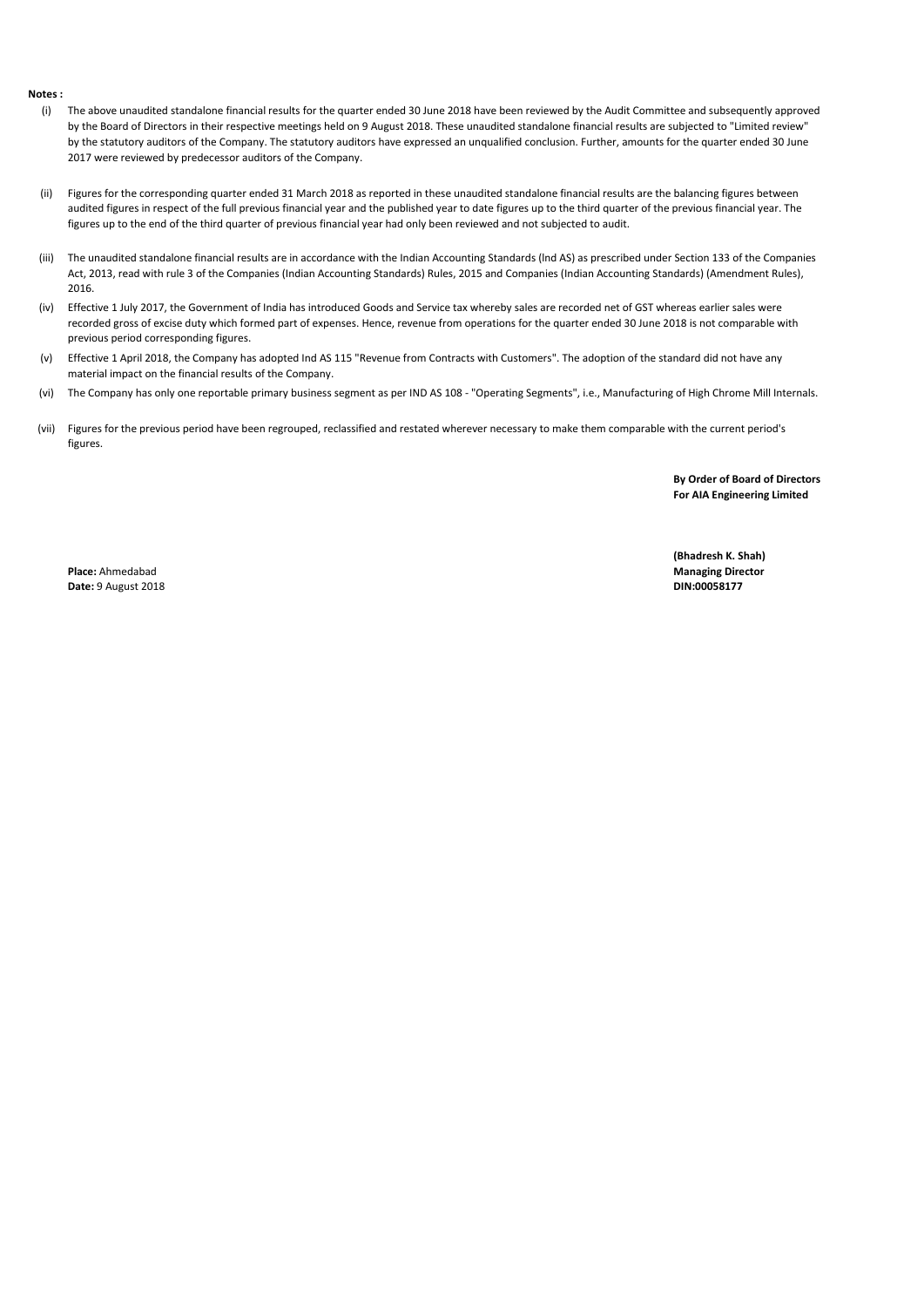## **Notes :**

- (i) The above unaudited standalone financial results for the quarter ended 30 June 2018 have been reviewed by the Audit Committee and subsequently approved by the Board of Directors in their respective meetings held on 9 August 2018. These unaudited standalone financial results are subjected to "Limited review" by the statutory auditors of the Company. The statutory auditors have expressed an unqualified conclusion. Further, amounts for the quarter ended 30 June 2017 were reviewed by predecessor auditors of the Company.
- (ii) Figures for the corresponding quarter ended 31 March 2018 as reported in these unaudited standalone financial results are the balancing figures between audited figures in respect of the full previous financial year and the published year to date figures up to the third quarter of the previous financial year. The figures up to the end of the third quarter of previous financial year had only been reviewed and not subjected to audit.
- (iii) The unaudited standalone financial results are in accordance with the Indian Accounting Standards (lnd AS) as prescribed under Section 133 of the Companies Act, 2013, read with rule 3 of the Companies (Indian Accounting Standards) Rules, 2015 and Companies (Indian Accounting Standards) (Amendment Rules), 2016.
- (iv) Effective 1 July 2017, the Government of India has introduced Goods and Service tax whereby sales are recorded net of GST whereas earlier sales were recorded gross of excise duty which formed part of expenses. Hence, revenue from operations for the quarter ended 30 June 2018 is not comparable with previous period corresponding figures.
- (v) Effective 1 April 2018, the Company has adopted Ind AS 115 "Revenue from Contracts with Customers". The adoption of the standard did not have any material impact on the financial results of the Company.
- (vi) The Company has only one reportable primary business segment as per IND AS 108 - "Operating Segments", i.e., Manufacturing of High Chrome Mill Internals.
- (vii) Figures for the previous period have been regrouped, reclassified and restated wherever necessary to make them comparable with the current period's figures.

**By Order of Board of Directors For AIA Engineering Limited**

**Date: 9 August 2018 DIN:00058177** 

**(Bhadresh K. Shah) Place:** Ahmedabad **Managing Director**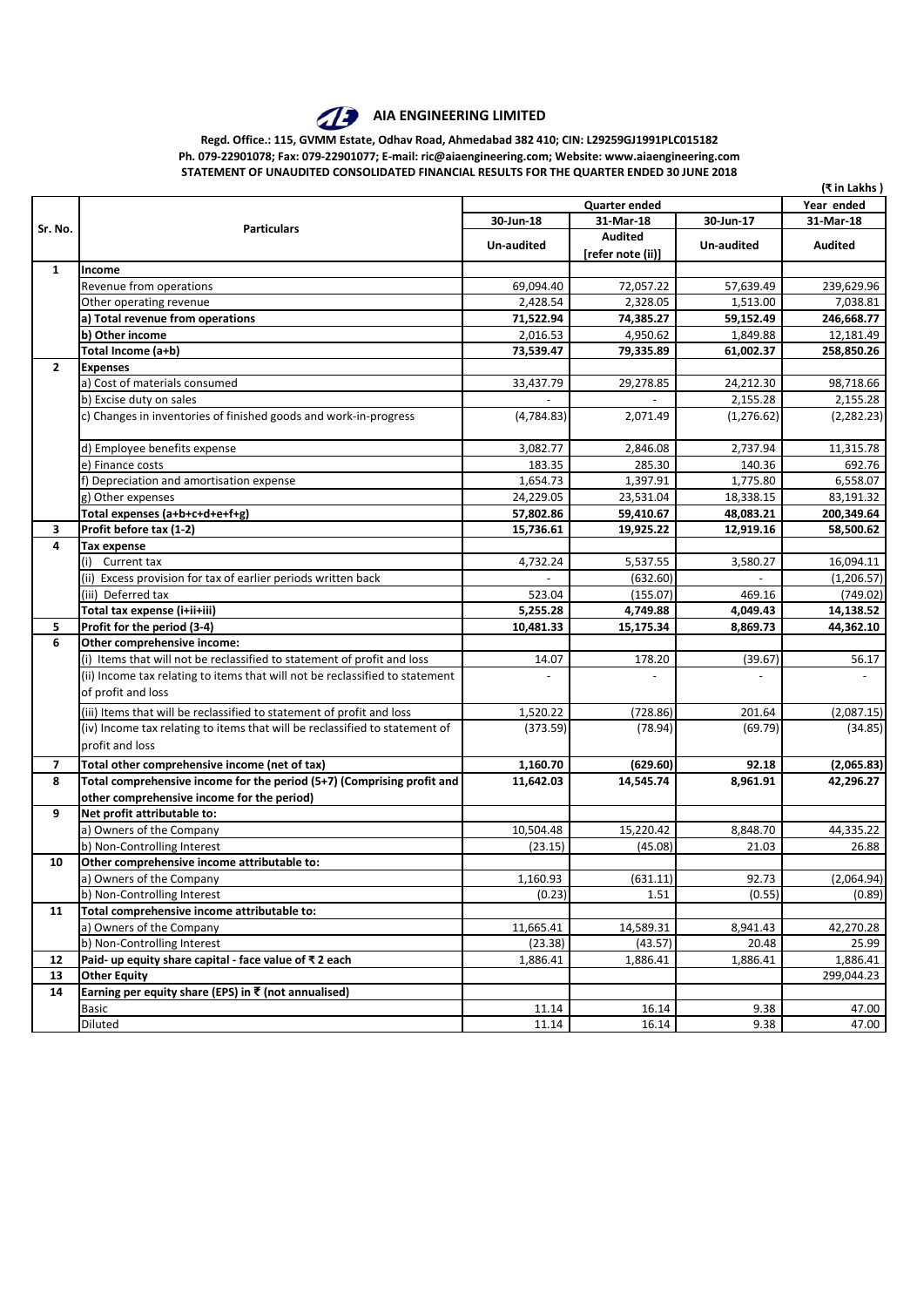

## **AIA ENGINEERING LIMITED**

**Regd. Office.: 115, GVMM Estate, Odhav Road, Ahmedabad 382 410; CIN: L29259GJ1991PLC015182 Ph. 079-22901078; Fax: 079-22901077; E-mail: ric@aiaengineering.com; Website: www.aiaengineering.com STATEMENT OF UNAUDITED CONSOLIDATED FINANCIAL RESULTS FOR THE QUARTER ENDED 30 JUNE 2018**

|                          |                                                                              | (₹ in Lakhs )          |                   |             |                |  |  |
|--------------------------|------------------------------------------------------------------------------|------------------------|-------------------|-------------|----------------|--|--|
|                          |                                                                              |                        | Year ended        |             |                |  |  |
| Sr. No.                  | <b>Particulars</b>                                                           | 31-Mar-18<br>30-Jun-18 |                   | 30-Jun-17   | 31-Mar-18      |  |  |
|                          |                                                                              |                        | <b>Audited</b>    |             | <b>Audited</b> |  |  |
|                          |                                                                              | Un-audited             | [refer note (ii)] | Un-audited  |                |  |  |
| 1                        | Income                                                                       |                        |                   |             |                |  |  |
|                          | Revenue from operations                                                      | 69,094.40              | 72,057.22         | 57,639.49   | 239,629.96     |  |  |
|                          | Other operating revenue                                                      | 2,428.54               | 2,328.05          | 1,513.00    | 7,038.81       |  |  |
|                          | a) Total revenue from operations                                             | 71,522.94              | 74,385.27         | 59,152.49   | 246,668.77     |  |  |
|                          | b) Other income                                                              | 2,016.53               | 4,950.62          | 1,849.88    | 12,181.49      |  |  |
|                          | Total Income (a+b)                                                           | 73,539.47              | 79,335.89         | 61,002.37   | 258,850.26     |  |  |
| $\mathbf{2}$             | <b>Expenses</b>                                                              |                        |                   |             |                |  |  |
|                          | a) Cost of materials consumed                                                | 33,437.79              | 29,278.85         | 24,212.30   | 98,718.66      |  |  |
|                          | b) Excise duty on sales                                                      |                        |                   | 2,155.28    | 2,155.28       |  |  |
|                          | c) Changes in inventories of finished goods and work-in-progress             | (4,784.83)             | 2,071.49          | (1, 276.62) | (2, 282.23)    |  |  |
|                          | d) Employee benefits expense                                                 | 3,082.77               | 2,846.08          | 2,737.94    | 11,315.78      |  |  |
|                          | e) Finance costs                                                             | 183.35                 | 285.30            | 140.36      | 692.76         |  |  |
|                          | f) Depreciation and amortisation expense                                     | 1,654.73               | 1,397.91          | 1,775.80    | 6,558.07       |  |  |
|                          | g) Other expenses                                                            | 24,229.05              | 23,531.04         | 18,338.15   | 83,191.32      |  |  |
|                          | Total expenses (a+b+c+d+e+f+g)                                               | 57,802.86              | 59,410.67         | 48,083.21   | 200,349.64     |  |  |
| 3                        | Profit before tax (1-2)                                                      | 15,736.61              | 19,925.22         | 12,919.16   | 58,500.62      |  |  |
| 4                        | <b>Tax expense</b>                                                           |                        |                   |             |                |  |  |
|                          | Current tax<br>(i)                                                           | 4,732.24               | 5,537.55          | 3.580.27    | 16,094.11      |  |  |
|                          | (ii) Excess provision for tax of earlier periods written back                |                        | (632.60)          |             | (1, 206.57)    |  |  |
|                          | (iii) Deferred tax                                                           | 523.04                 | (155.07)          | 469.16      | (749.02)       |  |  |
|                          | Total tax expense (i+ii+iii)                                                 | 5,255.28               | 4,749.88          | 4,049.43    | 14,138.52      |  |  |
| 5                        | Profit for the period (3-4)                                                  | 10,481.33              | 15,175.34         | 8,869.73    | 44,362.10      |  |  |
| 6                        | Other comprehensive income:                                                  |                        |                   |             |                |  |  |
|                          | (i) Items that will not be reclassified to statement of profit and loss      | 14.07                  | 178.20            | (39.67)     | 56.17          |  |  |
|                          | (ii) Income tax relating to items that will not be reclassified to statement |                        |                   |             |                |  |  |
|                          | of profit and loss                                                           |                        |                   |             |                |  |  |
|                          | (iii) Items that will be reclassified to statement of profit and loss        | 1,520.22               | (728.86)          | 201.64      | (2,087.15)     |  |  |
|                          | (iv) Income tax relating to items that will be reclassified to statement of  | (373.59)               | (78.94)           | (69.79)     | (34.85)        |  |  |
|                          | profit and loss                                                              |                        |                   |             |                |  |  |
| $\overline{\phantom{a}}$ | Total other comprehensive income (net of tax)                                | 1,160.70               | (629.60)          | 92.18       | (2,065.83)     |  |  |
| 8                        | Total comprehensive income for the period (5+7) (Comprising profit and       | 11,642.03              | 14,545.74         | 8,961.91    | 42,296.27      |  |  |
|                          | other comprehensive income for the period)                                   |                        |                   |             |                |  |  |
| 9                        | Net profit attributable to:                                                  |                        |                   |             |                |  |  |
|                          | a) Owners of the Company                                                     | 10,504.48              | 15,220.42         | 8,848.70    | 44,335.22      |  |  |
|                          | b) Non-Controlling Interest                                                  | (23.15)                | (45.08)           | 21.03       | 26.88          |  |  |
| 10                       | Other comprehensive income attributable to:                                  |                        |                   |             |                |  |  |
|                          | a) Owners of the Company                                                     | 1,160.93               | (631.11)          | 92.73       | (2,064.94)     |  |  |
|                          | b) Non-Controlling Interest                                                  | (0.23)                 | 1.51              | (0.55)      | (0.89)         |  |  |
| 11                       | Total comprehensive income attributable to:                                  |                        |                   |             |                |  |  |
|                          | a) Owners of the Company                                                     | 11,665.41              | 14,589.31         | 8,941.43    | 42,270.28      |  |  |
|                          | b) Non-Controlling Interest                                                  | (23.38)                | (43.57)           | 20.48       | 25.99          |  |  |
| 12                       | Paid- up equity share capital - face value of ₹2 each                        | 1,886.41               | 1,886.41          | 1,886.41    | 1,886.41       |  |  |
| 13                       | <b>Other Equity</b>                                                          |                        |                   |             | 299,044.23     |  |  |
| 14                       | Earning per equity share (EPS) in ₹ (not annualised)                         |                        |                   |             |                |  |  |
|                          | <b>Basic</b>                                                                 | 11.14                  | 16.14             | 9.38        | 47.00          |  |  |
|                          | Diluted                                                                      | 11.14                  | 16.14             | 9.38        | 47.00          |  |  |